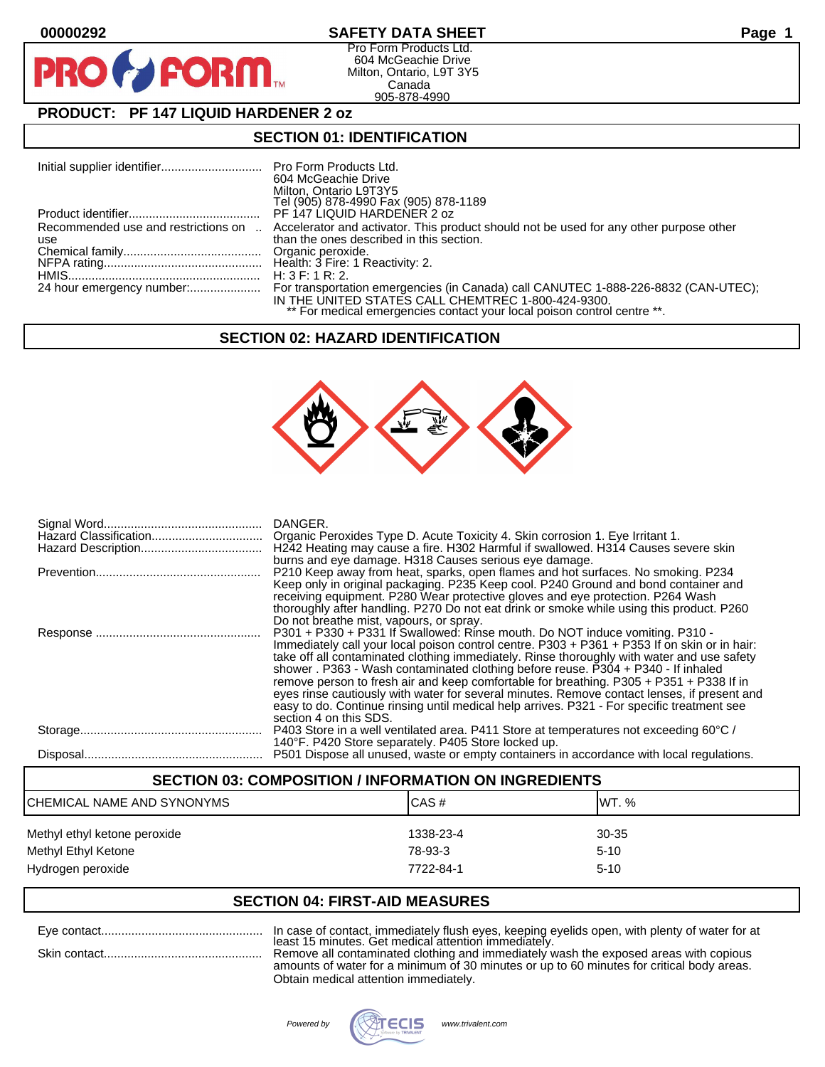## **00000292 SAFETY DATA SHEET Page 1**

Pro Form Products Ltd. 604 McGeachie Drive Milton, Ontario, L9T 3Y5 Canada 905-878-4990

# **PRODUCT: PF 147 LIQUID HARDENER 2 oz**

**FORM.** 

## **SECTION 01: IDENTIFICATION**

|                                            | 604 McGeachie Drive<br>Milton, Ontario L9T3Y5<br>Tel (905) 878-4990 Fax (905) 878-1189                                             |
|--------------------------------------------|------------------------------------------------------------------------------------------------------------------------------------|
|                                            | PF 147 LIQUID HARDENER 2 oz                                                                                                        |
| Recommended use and restrictions on<br>use | Accelerator and activator. This product should not be used for any other purpose other<br>than the ones described in this section. |
|                                            |                                                                                                                                    |
|                                            | H: $3 F: 1 R: 2$ .                                                                                                                 |
|                                            | IN THE UNITED STATES CALL CHEMTREC 1-800-424-9300.<br>** For medical emergencies contact your local poison control centre **.      |

# **SECTION 02: HAZARD IDENTIFICATION**



| DANGER.<br>H242 Heating may cause a fire. H302 Harmful if swallowed. H314 Causes severe skin<br>burns and eye damage. H318 Causes serious eye damage.                                                                                                                                                                                                                                                                                                                                                                                                                                                                                                                             |
|-----------------------------------------------------------------------------------------------------------------------------------------------------------------------------------------------------------------------------------------------------------------------------------------------------------------------------------------------------------------------------------------------------------------------------------------------------------------------------------------------------------------------------------------------------------------------------------------------------------------------------------------------------------------------------------|
| P210 Keep away from heat, sparks, open flames and hot surfaces. No smoking. P234<br>Keep only in original packaging. P235 Keep cool. P240 Ground and bond container and<br>receiving equipment. P280 Wear protective gloves and eye protection. P264 Wash<br>thoroughly after handling. P270 Do not eat drink or smoke while using this product. P260<br>Do not breathe mist, vapours, or spray.                                                                                                                                                                                                                                                                                  |
| P301 + P330 + P331 If Swallowed: Rinse mouth. Do NOT induce vomiting. P310 -<br>Immediately call your local poison control centre. P303 + P361 + P353 If on skin or in hair:<br>take off all contaminated clothing immediately. Rinse thoroughly with water and use safety<br>shower . P363 - Wash contaminated clothing before reuse. P304 + P340 - If inhaled<br>remove person to fresh air and keep comfortable for breathing. P305 + P351 + P338 If in<br>eyes rinse cautiously with water for several minutes. Remove contact lenses, if present and<br>easy to do. Continue rinsing until medical help arrives. P321 - For specific treatment see<br>section 4 on this SDS. |
| P403 Store in a well ventilated area. P411 Store at temperatures not exceeding 60°C /<br>140°F. P420 Store separately. P405 Store locked up.                                                                                                                                                                                                                                                                                                                                                                                                                                                                                                                                      |
| P501 Dispose all unused, waste or empty containers in accordance with local regulations.                                                                                                                                                                                                                                                                                                                                                                                                                                                                                                                                                                                          |

## **SECTION 03: COMPOSITION / INFORMATION ON INGREDIENTS**

| CHEMICAL NAME AND SYNONYMS                          | ICAS#                | <b>IWT.</b> %     |
|-----------------------------------------------------|----------------------|-------------------|
| Methyl ethyl ketone peroxide<br>Methyl Ethyl Ketone | 1338-23-4<br>78-93-3 | 30-35<br>$5 - 10$ |
| Hydrogen peroxide                                   | 7722-84-1            | $5 - 10$          |

# **SECTION 04: FIRST-AID MEASURES**

Eye contact................................................ In case of contact, immediately flush eyes, keeping eyelids open, with plenty of water for at least 15 minutes. Get medical attention immediately.

Skin contact............................................... Remove all contaminated clothing and immediately wash the exposed areas with copious amounts of water for a minimum of 30 minutes or up to 60 minutes for critical body areas. Obtain medical attention immediately.

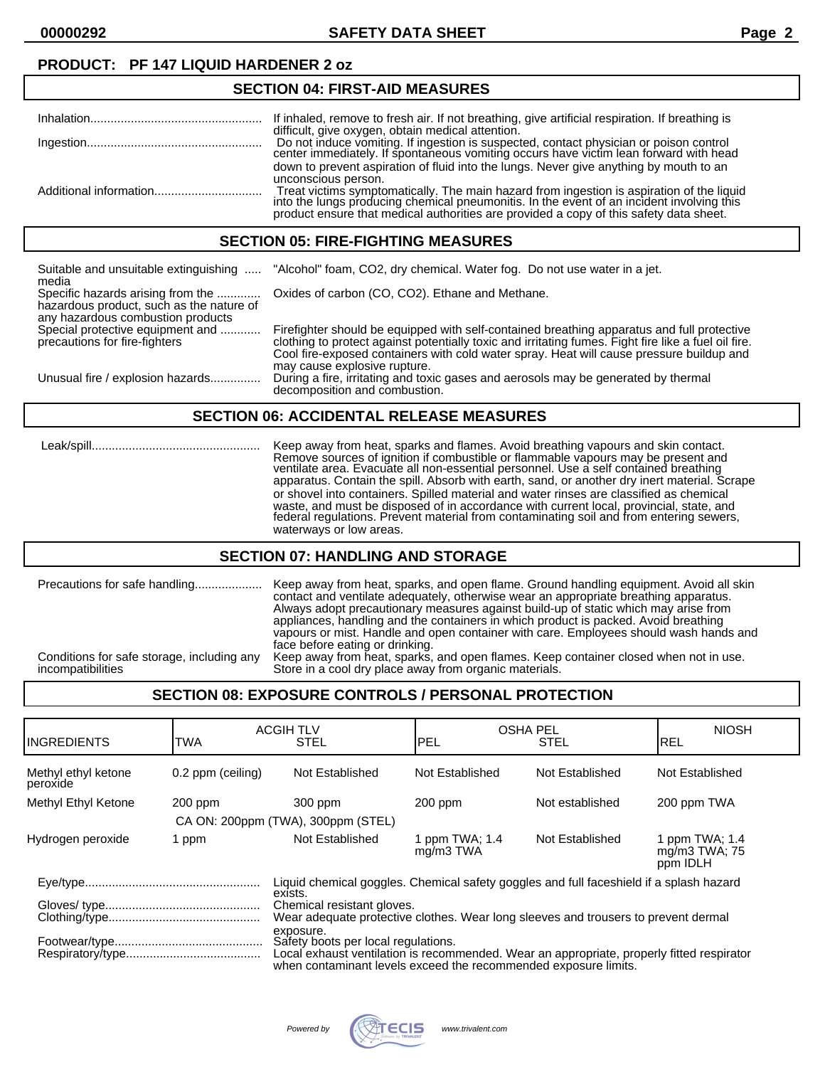# **PRODUCT: PF 147 LIQUID HARDENER 2 oz**

## **SECTION 04: FIRST-AID MEASURES**

| If inhaled, remove to fresh air. If not breathing, give artificial respiration. If breathing is                                                                                                                                                                                                      |
|------------------------------------------------------------------------------------------------------------------------------------------------------------------------------------------------------------------------------------------------------------------------------------------------------|
| difficult, give oxygen, obtain medical attention.<br>Do not induce vomiting. If ingestion is suspected, contact physician or poison control center immediately. If spontaneous vomiting occurs have victim lean forward with head                                                                    |
| down to prevent aspiration of fluid into the lungs. Never give anything by mouth to an<br>unconscious person.<br>Treat victims symptomatically. The main hazard from ingestion is aspiration of the liquid into the lungs producing chemical pneumonitis. In the event of an incident involving this |
| product ensure that medical authorities are provided a copy of this safety data sheet.                                                                                                                                                                                                               |

### **SECTION 05: FIRE-FIGHTING MEASURES**

| Suitable and unsuitable extinguishing<br>media                                                                     | "Alcohol" foam, CO2, dry chemical. Water fog. Do not use water in a jet.                                                                                                                                                                                                                                                       |
|--------------------------------------------------------------------------------------------------------------------|--------------------------------------------------------------------------------------------------------------------------------------------------------------------------------------------------------------------------------------------------------------------------------------------------------------------------------|
| Specific hazards arising from the<br>hazardous product, such as the nature of<br>any hazardous combustion products | Oxides of carbon (CO, CO2). Ethane and Methane.                                                                                                                                                                                                                                                                                |
| Special protective equipment and<br>precautions for fire-fighters                                                  | Firefighter should be equipped with self-contained breathing apparatus and full protective<br>clothing to protect against potentially toxic and irritating fumes. Fight fire like a fuel oil fire.<br>Cool fire-exposed containers with cold water spray. Heat will cause pressure buildup and<br>may cause explosive rupture. |
| Unusual fire / explosion hazards                                                                                   | During a fire, irritating and toxic gases and aerosols may be generated by thermal<br>decomposition and combustion.                                                                                                                                                                                                            |

## **SECTION 06: ACCIDENTAL RELEASE MEASURES**

 Leak/spill.................................................. Keep away from heat, sparks and flames. Avoid breathing vapours and skin contact. Remove sources of ignition if combustible or flammable vapours may be present and ventilate area. Evacuate all non-essential personnel. Use a self contained breathing apparatus. Contain the spill. Absorb with earth, sand, or another dry inert material. Scrape or shovel into containers. Spilled material and water rinses are classified as chemical waste, and must be disposed of in accordance with current local, provincial, state, and federal regulations. Prevent material from contaminating soil and from entering sewers, waterways or low areas.

## **SECTION 07: HANDLING AND STORAGE**

# **SECTION 08: EXPOSURE CONTROLS / PERSONAL PROTECTION**

| <b>IINGREDIENTS</b>                                                                                | TWA               | <b>ACGIH TLV</b><br><b>STEL</b>                                                                                                                                                                                                                                                                                                      | PEL                         | <b>OSHA PEL</b><br><b>STEL</b> | <b>NIOSH</b><br><b>REL</b>                  |
|----------------------------------------------------------------------------------------------------|-------------------|--------------------------------------------------------------------------------------------------------------------------------------------------------------------------------------------------------------------------------------------------------------------------------------------------------------------------------------|-----------------------------|--------------------------------|---------------------------------------------|
| Methyl ethyl ketone<br>peroxide                                                                    | 0.2 ppm (ceiling) | Not Established                                                                                                                                                                                                                                                                                                                      | Not Established             | Not Established                | Not Established                             |
| Methyl Ethyl Ketone                                                                                | $200$ ppm         | 300 ppm                                                                                                                                                                                                                                                                                                                              | $200$ ppm                   | Not established                | 200 ppm TWA                                 |
|                                                                                                    |                   | CA ON: 200ppm (TWA), 300ppm (STEL)                                                                                                                                                                                                                                                                                                   |                             |                                |                                             |
| Hydrogen peroxide                                                                                  | 1 ppm             | Not Established                                                                                                                                                                                                                                                                                                                      | 1 ppm TWA; 1.4<br>mg/m3 TWA | Not Established                | 1 ppm TWA; 1.4<br>mg/m3 TWA; 75<br>ppm IDLH |
| Liquid chemical goggles. Chemical safety goggles and full faceshield if a splash hazard<br>exists. |                   |                                                                                                                                                                                                                                                                                                                                      |                             |                                |                                             |
|                                                                                                    |                   | Chemical resistant gloves.<br>Wear adequate protective clothes. Wear long sleeves and trousers to prevent dermal<br>exposure.<br>Safety boots per local regulations.<br>Local exhaust ventilation is recommended. Wear an appropriate, properly fitted respirator<br>when contaminant levels exceed the recommended exposure limits. |                             |                                |                                             |
|                                                                                                    |                   |                                                                                                                                                                                                                                                                                                                                      |                             |                                |                                             |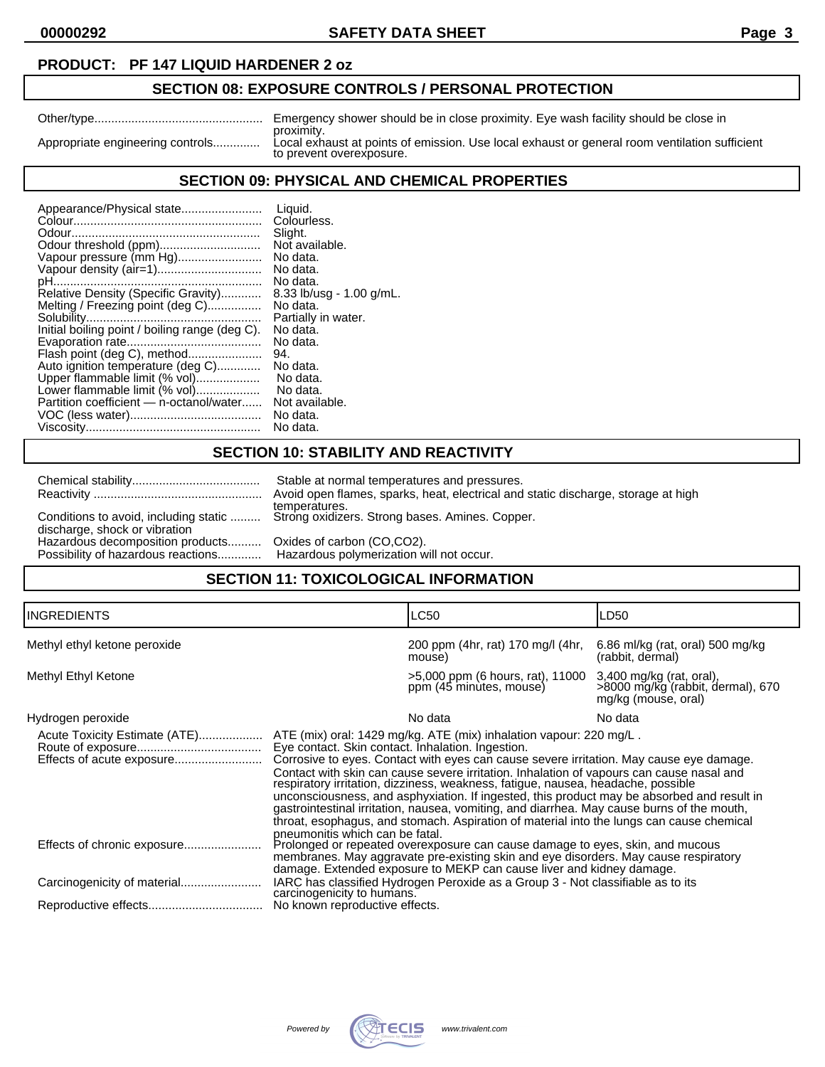**00000292 SAFETY DATA SHEET Page 3**

## **PRODUCT: PF 147 LIQUID HARDENER 2 oz**

# **SECTION 08: EXPOSURE CONTROLS / PERSONAL PROTECTION**

|                                  | Emergency shower should be in close proximity. Eye wash facility should be close in                                       |
|----------------------------------|---------------------------------------------------------------------------------------------------------------------------|
|                                  | proximity.                                                                                                                |
| Appropriate engineering controls | Local exhaust at points of emission. Use local exhaust or general room ventilation sufficient<br>to prevent overexposure. |
|                                  |                                                                                                                           |

# **SECTION 09: PHYSICAL AND CHEMICAL PROPERTIES**

| Appearance/Physical state                      | Liquid.                    |
|------------------------------------------------|----------------------------|
|                                                | Colourless.                |
|                                                | Slight.                    |
|                                                | Not available.             |
| Vapour pressure (mm Hg)                        | No data.                   |
| Vapour density (air=1)                         | No data.                   |
|                                                | No data.                   |
| Relative Density (Specific Gravity)            | $8.33$ lb/usg - 1.00 g/mL. |
| Melting / Freezing point (deg C)               | No data.                   |
|                                                | Partially in water.        |
| Initial boiling point / boiling range (deg C). | No data.                   |
|                                                | No data.                   |
| Flash point (deg C), method                    | 94.                        |
| Auto ignition temperature (deg C)              | No data.                   |
| Upper flammable limit (% vol)                  | No data.                   |
| Lower flammable limit (% vol)                  | No data.                   |
| Partition coefficient - n-octanol/water        | Not available.             |
|                                                | No data.                   |
|                                                | No data.                   |

## **SECTION 10: STABILITY AND REACTIVITY**

|                                  |                                                                             | Stable at normal temperatures and pressures.                                                            |  |  |
|----------------------------------|-----------------------------------------------------------------------------|---------------------------------------------------------------------------------------------------------|--|--|
|                                  |                                                                             | Avoid open flames, sparks, heat, electrical and static discharge, storage at high                       |  |  |
|                                  | discharge, shock or vibration                                               | temperatures.<br>Conditions to avoid, including static  Strong oxidizers. Strong bases. Amines. Copper. |  |  |
| Hazardous decomposition products |                                                                             | Oxides of carbon (CO,CO2).                                                                              |  |  |
|                                  | Possibility of hazardous reactions Hazardous polymerization will not occur. |                                                                                                         |  |  |
|                                  | CECTION 44. TOVICOLOGICAL INFORMATION                                       |                                                                                                         |  |  |

## **SECTION 11: TOXICOLOGICAL INFORMATION**

| <b>INGREDIENTS</b>                                         |                                                                                                                                                                                                                                                                                                                                                                                                                                                                                                                                                                                                                                                                                            | LC50                                                        | LD50                                                                                 |
|------------------------------------------------------------|--------------------------------------------------------------------------------------------------------------------------------------------------------------------------------------------------------------------------------------------------------------------------------------------------------------------------------------------------------------------------------------------------------------------------------------------------------------------------------------------------------------------------------------------------------------------------------------------------------------------------------------------------------------------------------------------|-------------------------------------------------------------|--------------------------------------------------------------------------------------|
| Methyl ethyl ketone peroxide                               |                                                                                                                                                                                                                                                                                                                                                                                                                                                                                                                                                                                                                                                                                            | 200 ppm (4hr, rat) 170 mg/l (4hr,<br>mouse)                 | 6.86 ml/kg (rat, oral) 500 mg/kg<br>(rabbit, dermal)                                 |
| Methyl Ethyl Ketone                                        |                                                                                                                                                                                                                                                                                                                                                                                                                                                                                                                                                                                                                                                                                            | >5,000 ppm (6 hours, rat), 11000<br>ppm (45 minutes, mouse) | 3,400 mg/kg (rat, oral),<br>>8000 mg/kg (rabbit, dermal), 670<br>mg/kg (mouse, oral) |
| Hydrogen peroxide                                          |                                                                                                                                                                                                                                                                                                                                                                                                                                                                                                                                                                                                                                                                                            | No data                                                     | No data                                                                              |
| Acute Toxicity Estimate (ATE)<br>Effects of acute exposure | ATE (mix) oral: 1429 mg/kg. ATE (mix) inhalation vapour: 220 mg/L.<br>Eye contact. Skin contact. Inhalation. Ingestion.<br>Corrosive to eyes. Contact with eyes can cause severe irritation. May cause eye damage.<br>Contact with skin can cause severe irritation. Inhalation of vapours can cause nasal and<br>respiratory irritation, dizziness, weakness, fatigue, nausea, headache, possible<br>unconsciousness, and asphyxiation. If ingested, this product may be absorbed and result in<br>gastrointestinal irritation, nausea, vomiting, and diarrhea. May cause burns of the mouth,<br>throat, esophagus, and stomach. Aspiration of material into the lungs can cause chemical |                                                             |                                                                                      |
|                                                            | pneumonitis which can be fatal.<br>Prolonged or repeated overexposure can cause damage to eyes, skin, and mucous<br>membranes. May aggravate pre-existing skin and eye disorders. May cause respiratory<br>damage. Extended exposure to MEKP can cause liver and kidney damage.<br>IARC has classified Hydrogen Peroxide as a Group 3 - Not classifiable as to its<br>carcinogenicity to humans.<br>No known reproductive effects.                                                                                                                                                                                                                                                         |                                                             |                                                                                      |
|                                                            |                                                                                                                                                                                                                                                                                                                                                                                                                                                                                                                                                                                                                                                                                            |                                                             |                                                                                      |
|                                                            |                                                                                                                                                                                                                                                                                                                                                                                                                                                                                                                                                                                                                                                                                            |                                                             |                                                                                      |